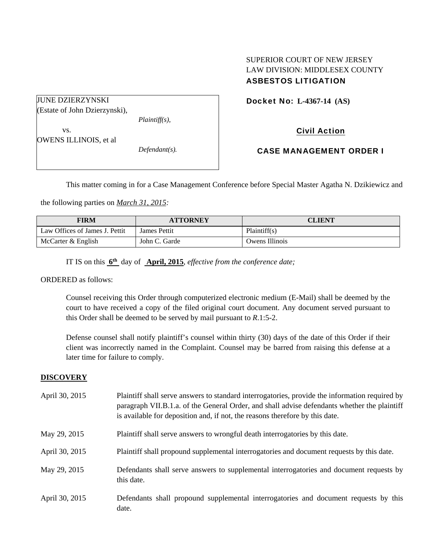## SUPERIOR COURT OF NEW JERSEY LAW DIVISION: MIDDLESEX COUNTY ASBESTOS LITIGATION

Docket No: **L-4367-14 (AS)** 

JUNE DZIERZYNSKI (Estate of John Dzierzynski), *Plaintiff(s),*  vs. OWENS ILLINOIS, et al

*Defendant(s).* 

Civil Action

CASE MANAGEMENT ORDER I

This matter coming in for a Case Management Conference before Special Master Agatha N. Dzikiewicz and

the following parties on *March 31, 2015:* 

| FIRM                           | <b>ATTORNEY</b> | <b>CLIENT</b>  |
|--------------------------------|-----------------|----------------|
| Law Offices of James J. Pettit | James Pettit    | Plaintiff(s)   |
| McCarter & English             | John C. Garde   | Owens Illinois |

IT IS on this **6th** day of **April, 2015**, *effective from the conference date;*

ORDERED as follows:

Counsel receiving this Order through computerized electronic medium (E-Mail) shall be deemed by the court to have received a copy of the filed original court document. Any document served pursuant to this Order shall be deemed to be served by mail pursuant to *R*.1:5-2.

Defense counsel shall notify plaintiff's counsel within thirty (30) days of the date of this Order if their client was incorrectly named in the Complaint. Counsel may be barred from raising this defense at a later time for failure to comply.

#### **DISCOVERY**

| April 30, 2015 | Plaintiff shall serve answers to standard interrogatories, provide the information required by<br>paragraph VII.B.1.a. of the General Order, and shall advise defendants whether the plaintiff<br>is available for deposition and, if not, the reasons therefore by this date. |
|----------------|--------------------------------------------------------------------------------------------------------------------------------------------------------------------------------------------------------------------------------------------------------------------------------|
| May 29, 2015   | Plaintiff shall serve answers to wrongful death interrogatories by this date.                                                                                                                                                                                                  |
| April 30, 2015 | Plaintiff shall propound supplemental interrogatories and document requests by this date.                                                                                                                                                                                      |
| May 29, 2015   | Defendants shall serve answers to supplemental interrogatories and document requests by<br>this date.                                                                                                                                                                          |
| April 30, 2015 | Defendants shall propound supplemental interrogatories and document requests by this<br>date.                                                                                                                                                                                  |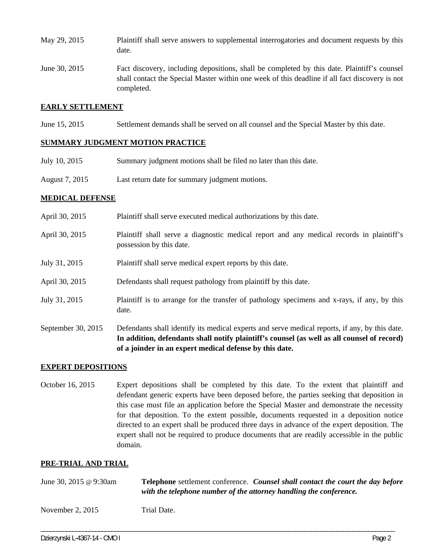- May 29, 2015 Plaintiff shall serve answers to supplemental interrogatories and document requests by this date.
- June 30, 2015 Fact discovery, including depositions, shall be completed by this date. Plaintiff's counsel shall contact the Special Master within one week of this deadline if all fact discovery is not completed.

### **EARLY SETTLEMENT**

June 15, 2015 Settlement demands shall be served on all counsel and the Special Master by this date.

## **SUMMARY JUDGMENT MOTION PRACTICE**

- July 10, 2015 Summary judgment motions shall be filed no later than this date.
- August 7, 2015 Last return date for summary judgment motions.

## **MEDICAL DEFENSE**

| September 30, 2015 | Defendants shall identify its medical experts and serve medical reports, if any, by this date.<br>In addition, defendants shall notify plaintiff's counsel (as well as all counsel of record)<br>of a joinder in an expert medical defense by this date. |  |
|--------------------|----------------------------------------------------------------------------------------------------------------------------------------------------------------------------------------------------------------------------------------------------------|--|
| July 31, 2015      | Plaintiff is to arrange for the transfer of pathology specimens and x-rays, if any, by this<br>date.                                                                                                                                                     |  |
| April 30, 2015     | Defendants shall request pathology from plaintiff by this date.                                                                                                                                                                                          |  |
| July 31, 2015      | Plaintiff shall serve medical expert reports by this date.                                                                                                                                                                                               |  |
| April 30, 2015     | Plaintiff shall serve a diagnostic medical report and any medical records in plaintiff's<br>possession by this date.                                                                                                                                     |  |
| April 30, 2015     | Plaintiff shall serve executed medical authorizations by this date.                                                                                                                                                                                      |  |

#### **EXPERT DEPOSITIONS**

October 16, 2015 Expert depositions shall be completed by this date. To the extent that plaintiff and defendant generic experts have been deposed before, the parties seeking that deposition in this case must file an application before the Special Master and demonstrate the necessity for that deposition. To the extent possible, documents requested in a deposition notice directed to an expert shall be produced three days in advance of the expert deposition. The expert shall not be required to produce documents that are readily accessible in the public domain.

#### **PRE-TRIAL AND TRIAL**

| June 30, 2015 @ 9:30am | <b>Telephone</b> settlement conference. Counsel shall contact the court the day before<br>with the telephone number of the attorney handling the conference. |  |
|------------------------|--------------------------------------------------------------------------------------------------------------------------------------------------------------|--|
| November $2, 2015$     | Trial Date.                                                                                                                                                  |  |

\_\_\_\_\_\_\_\_\_\_\_\_\_\_\_\_\_\_\_\_\_\_\_\_\_\_\_\_\_\_\_\_\_\_\_\_\_\_\_\_\_\_\_\_\_\_\_\_\_\_\_\_\_\_\_\_\_\_\_\_\_\_\_\_\_\_\_\_\_\_\_\_\_\_\_\_\_\_\_\_\_\_\_\_\_\_\_\_\_\_\_\_\_\_\_\_\_\_\_\_\_\_\_\_\_\_\_\_\_\_